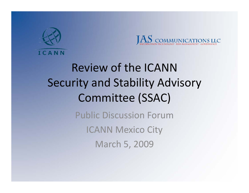



Review of the ICANN Security and Stability Advisory Committee (SSAC) Public Discussion ForumICANN Mexico City

March 5, 2009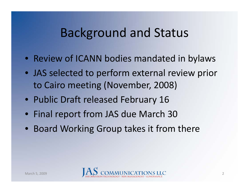#### Background and Status

- Review of ICANN bodies mandated in bylaws
- JAS selected to perform external review prior to Cairo meeting (November, 2008)
- Public Draft released February 16
- Final report from JAS due March 30
- Board Working Group takes it from there

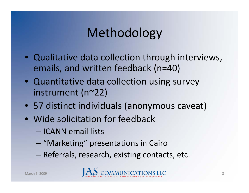## Methodology

- Qualitative data collection through interviews, emails, and written feedback (n=40)
- Quantitative data collection using survey instrument (n~22)
- 57 distinct individuals (anonymous caveat)
- Wide solicitation for feedback
	- ICANN email lists
	- –"Marketing" presentations in Cairo
	- –Referrals, research, existing contacts, etc.

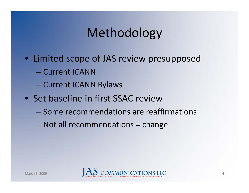## Methodology

- Limited scope of JAS review presupposed
	- Current ICANN
	- Current ICANN Bylaws
- Set baseline in first SSAC review
	- Some recommendations are reaffirmations
	- Not all recommendations = change

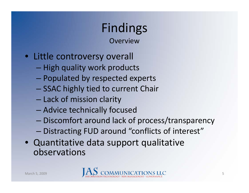**Overview** 

- Little controversy overall
	- High quality work products
	- Populated by respected experts
	- SSAC highly tied to current Chair
	- Lack of mission clarity
	- Advice technically focused
	- Discomfort around lack of process/transparency
	- Distracting FUD around "conflicts of interest"
- Quantitative data support qualitative observations

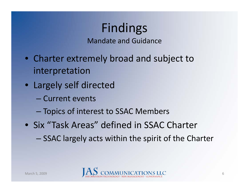Mandate and Guidance

- Charter extremely broad and subject to interpretation
- Largely self directed
	- Current events
	- $-$  Topics of interest to SSAC Members
- Six "Task Areas" defined in SSAC Charter
	- SSAC largely acts within the spirit of the Charter

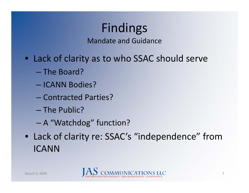Mandate and Guidance

- Lack of clarity as to who SSAC should serve
	- The Board?
	- ICANN Bodies?
	- Contracted Parties?
	- The Public?
	- A "Watchdog" function?
- Lack of clarity re: SSAC's "independence" from ICANN

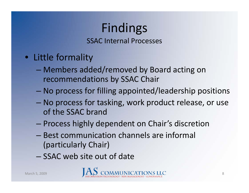SSAC Internal Processes

- Little formality
	- Members added/removed by Board acting on recommendations by SSAC Chair
	- No process for filling appointed/leadership positions
	- No process for tasking, work product release, or use of the SSAC brand
	- Process highly dependent on Chair's discretion
	- Best communication channels are informal (particularly Chair)
	- SSAC web site out of date

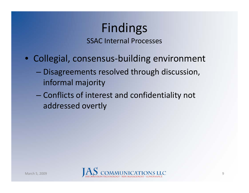SSAC Internal Processes

- Collegial, consensus‐building environment
	- Disagreements resolved through discussion, informal majority
	- – Conflicts of interest and confidentiality not addressed overtly

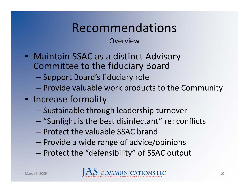Overview

- Maintain SSAC as a distinct Advisory Committee to the fiduciary Board
	- Support Board's fiduciary role
	- Provide valuable work products to the Community
- Increase formality
	- Sustainable through leadership turnover
	- "Sunlight is the best disinfectant" re: conflicts
	- Protect the valuable SSAC brand
	- Provide a wide range of advice/opinions
	- – $-$  Protect the "defensibility" of SSAC output

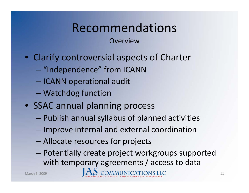Overview

- Clarify controversial aspects of Charter
	- $-$  "Independence" from ICANN
	- ICANN operational audit
	- Watchdog function
- SSAC annual planning process
	- –Publish annual syllabus of planned activities
	- $-$  Improve internal and external coordination
	- Allocate resources for projects
	- Potentially create project workgroups supported with temporary agreements / access to data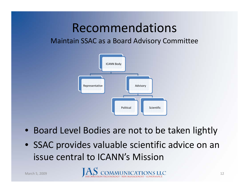#### Maintain SSAC as a Board Advisory Committee



- Board Level Bodies are not to be taken lightly
- SSAC provides valuable scientific advice on an issue central to ICANN's Mission

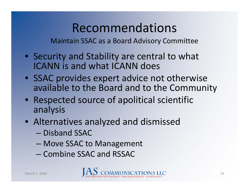Maintain SSAC as a Board Advisory Committee

- Security and Stability are central to what ICANN is and what ICANN does
- SSAC provides expert advice not otherwise available to the Board and to the Community
- Respected source of apolitical scientific analysis
- Alternatives analyzed and dismissed
	- Disband SSAC
	- –Move SSAC to Management
	- Combine SSAC and RSSAC

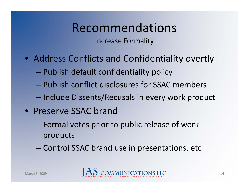Increase Formality

- Address Conflicts and Confidentiality overtly
	- Publish default confidentiality policy
	- Publish conflict disclosures for SSAC members
	- $-$  Include Dissents/Recusals in every work product
- Preserve SSAC brand
	- Formal votes prior to public release of work products
	- Control SSAC brand use in presentations, etc

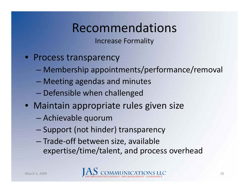Increase Formality

- Process transparency
	- Membership appointments/performance/removal
	- Meeting agendas and minutes
	- Defensible when challenged
- Maintain appropriate rules given size
	- –Achievable quorum
	- Support (not hinder) transparency
	- Trade ‐off between size, available expertise/time/talent, and process overhead

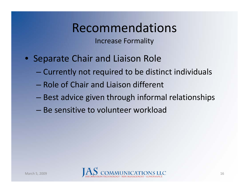Increase Formality

- Separate Chair and Liaison Role
	- Currently not required to be distinct individuals
	- Role of Chair and Liaison different
	- Best advice given through informal relationships
	- Be sensitive to volunteer workload

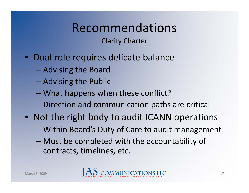Clarify Charter

- Dual role requires delicate balance
	- Advising the Board
	- Advising the Public
	- What happens when these conflict?
	- Direction and communication paths are critical
- Not the right body to audit ICANN operations
	- Within Board's Duty of Care to audit management
	- Must be completed with the accountability of contracts, timelines, etc.

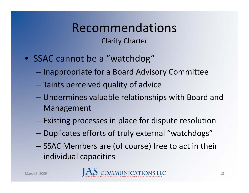#### Clarify Charter

- SSAC cannot be a "watchdog"
	- Inappropriate for a Board Advisory Committee
	- Taints perceived quality of advice
	- Undermines valuable relationships with Board and Management
	- – $-$  Existing processes in place for dispute resolution
	- –Duplicates efforts of truly external "watchdogs"
	- –— SSAC Members are (of course) free to act in their individual capacities

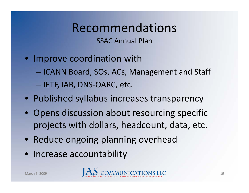SSAC Annual Plan

- Improve coordination with
	- ICANN Board, SOs, ACs, Management and Staff — IETF, IAB, DNS-OARC, etc.
- Published syllabus increases transparency
- Opens discussion about resourcing specific projects with dollars, headcount, data, etc.
- Reduce ongoing planning overhead
- Increase accountability

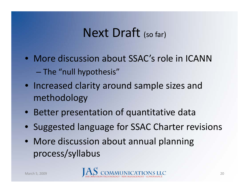#### Next Draft (so far)

- More discussion about SSAC's role in ICANN  $-$  The "null hypothesis"
- Increased clarity around sample sizes and methodology
- Better presentation of quantitative data
- Suggested language for SSAC Charter revisions
- More discussion about annual planning process/syllabus